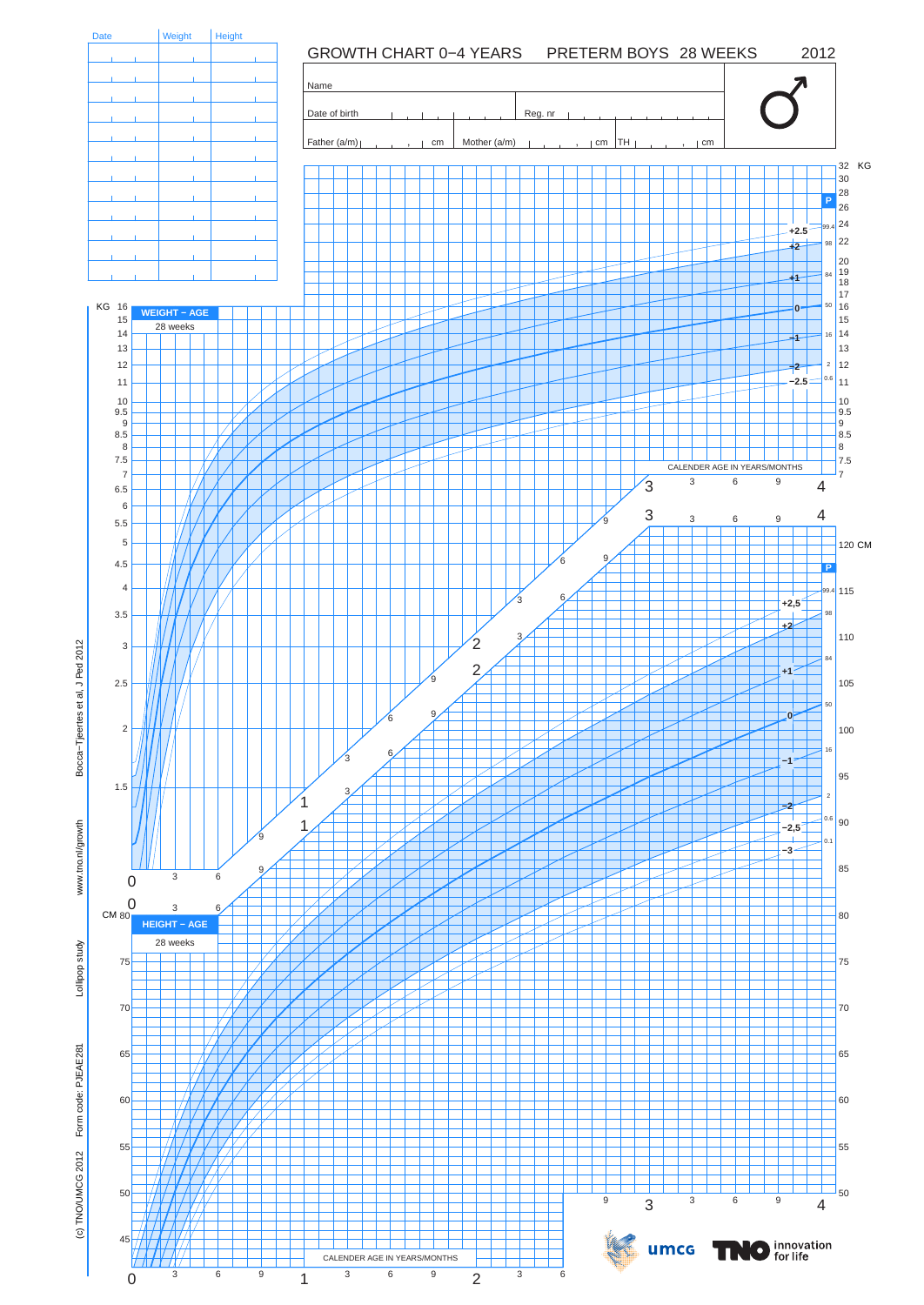